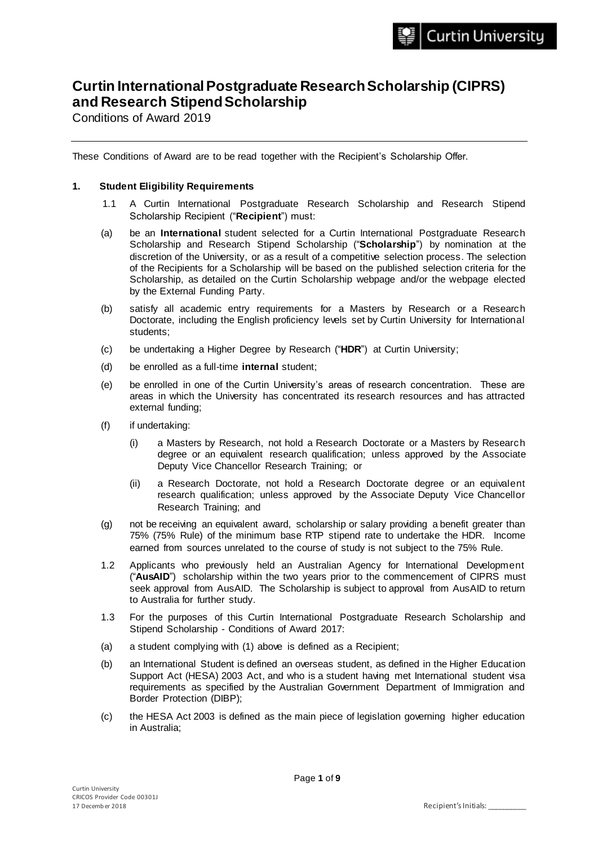# **Curtin International Postgraduate Research Scholarship (CIPRS) and Research Stipend Scholarship**

Conditions of Award 2019

These Conditions of Award are to be read together with the Recipient's Scholarship Offer.

## **1. Student Eligibility Requirements**

- 1.1 A Curtin International Postgraduate Research Scholarship and Research Stipend Scholarship Recipient ("**Recipient**") must:
- (a) be an **International** student selected for a Curtin International Postgraduate Research Scholarship and Research Stipend Scholarship ("**Scholarship**") by nomination at the discretion of the University, or as a result of a competitive selection process. The selection of the Recipients for a Scholarship will be based on the published selection criteria for the Scholarship, as detailed on the Curtin Scholarship webpage and/or the webpage elected by the External Funding Party.
- (b) satisfy all academic entry requirements for a Masters by Research or a Research Doctorate, including the English proficiency levels set by Curtin University for International students;
- (c) be undertaking a Higher Degree by Research ("**HDR**") at Curtin University;
- (d) be enrolled as a full-time **internal** student;
- (e) be enrolled in one of the Curtin University's areas of research concentration. These are areas in which the University has concentrated its research resources and has attracted external funding;
- (f) if undertaking:
	- (i) a Masters by Research, not hold a Research Doctorate or a Masters by Research degree or an equivalent research qualification; unless approved by the Associate Deputy Vice Chancellor Research Training; or
	- (ii) a Research Doctorate, not hold a Research Doctorate degree or an equivalent research qualification; unless approved by the Associate Deputy Vice Chancellor Research Training; and
- (g) not be receiving an equivalent award, scholarship or salary providing a benefit greater than 75% (75% Rule) of the minimum base RTP stipend rate to undertake the HDR. Income earned from sources unrelated to the course of study is not subject to the 75% Rule.
- 1.2 Applicants who previously held an Australian Agency for International Development ("**AusAID**") scholarship within the two years prior to the commencement of CIPRS must seek approval from AusAID. The Scholarship is subject to approval from AusAID to return to Australia for further study.
- 1.3 For the purposes of this Curtin International Postgraduate Research Scholarship and Stipend Scholarship - Conditions of Award 2017:
- (a) a student complying with (1) above is defined as a Recipient;
- (b) an International Student is defined an overseas student, as defined in the Higher Education Support Act (HESA) 2003 Act, and who is a student having met International student visa requirements as specified by the Australian Government Department of Immigration and Border Protection (DIBP);
- (c) the HESA Act 2003 is defined as the main piece of legislation governing higher education in Australia;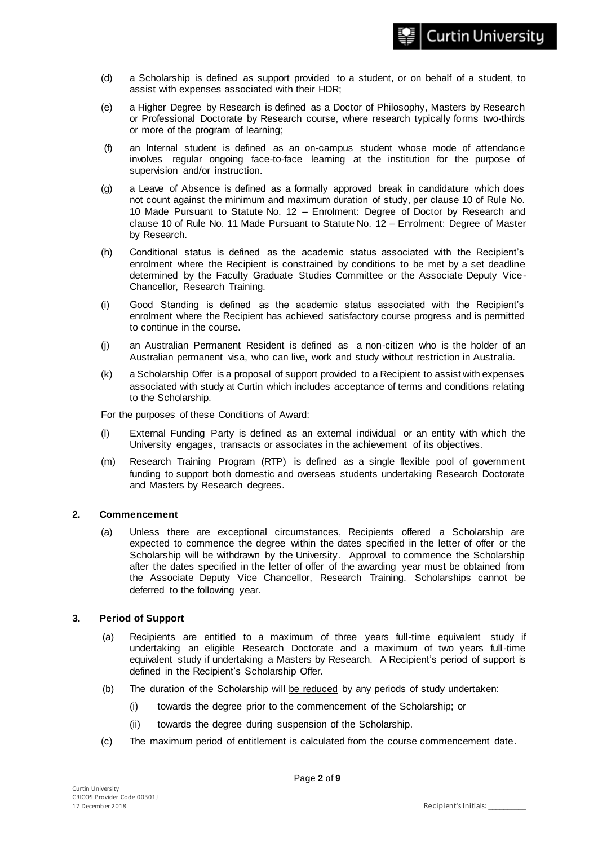- (d) a Scholarship is defined as support provided to a student, or on behalf of a student, to assist with expenses associated with their HDR;
- (e) a Higher Degree by Research is defined as a Doctor of Philosophy, Masters by Research or Professional Doctorate by Research course, where research typically forms two-thirds or more of the program of learning;
- (f) an Internal student is defined as an on-campus student whose mode of attendance involves regular ongoing face-to-face learning at the institution for the purpose of supervision and/or instruction.
- (g) a Leave of Absence is defined as a formally approved break in candidature which does not count against the minimum and maximum duration of study, per clause 10 of Rule No. 10 Made Pursuant to Statute No. 12 – Enrolment: Degree of Doctor by Research and clause 10 of Rule No. 11 Made Pursuant to Statute No. 12 – Enrolment: Degree of Master by Research.
- (h) Conditional status is defined as the academic status associated with the Recipient's enrolment where the Recipient is constrained by conditions to be met by a set deadline determined by the Faculty Graduate Studies Committee or the Associate Deputy Vice-Chancellor, Research Training.
- (i) Good Standing is defined as the academic status associated with the Recipient's enrolment where the Recipient has achieved satisfactory course progress and is permitted to continue in the course.
- (j) an Australian Permanent Resident is defined as a non-citizen who is the holder of an Australian permanent visa, who can live, work and study without restriction in Australia.
- (k) a Scholarship Offer is a proposal of support provided to a Recipient to assist with expenses associated with study at Curtin which includes acceptance of terms and conditions relating to the Scholarship.

For the purposes of these Conditions of Award:

- (l) External Funding Party is defined as an external individual or an entity with which the University engages, transacts or associates in the achievement of its objectives.
- (m) Research Training Program (RTP) is defined as a single flexible pool of government funding to support both domestic and overseas students undertaking Research Doctorate and Masters by Research degrees.

# **2. Commencement**

(a) Unless there are exceptional circumstances, Recipients offered a Scholarship are expected to commence the degree within the dates specified in the letter of offer or the Scholarship will be withdrawn by the University. Approval to commence the Scholarship after the dates specified in the letter of offer of the awarding year must be obtained from the Associate Deputy Vice Chancellor, Research Training. Scholarships cannot be deferred to the following year.

# **3. Period of Support**

- (a) Recipients are entitled to a maximum of three years full-time equivalent study if undertaking an eligible Research Doctorate and a maximum of two years full-time equivalent study if undertaking a Masters by Research. A Recipient's period of support is defined in the Recipient's Scholarship Offer.
- (b) The duration of the Scholarship will be reduced by any periods of study undertaken:
	- (i) towards the degree prior to the commencement of the Scholarship; or
	- (ii) towards the degree during suspension of the Scholarship.
- (c) The maximum period of entitlement is calculated from the course commencement date.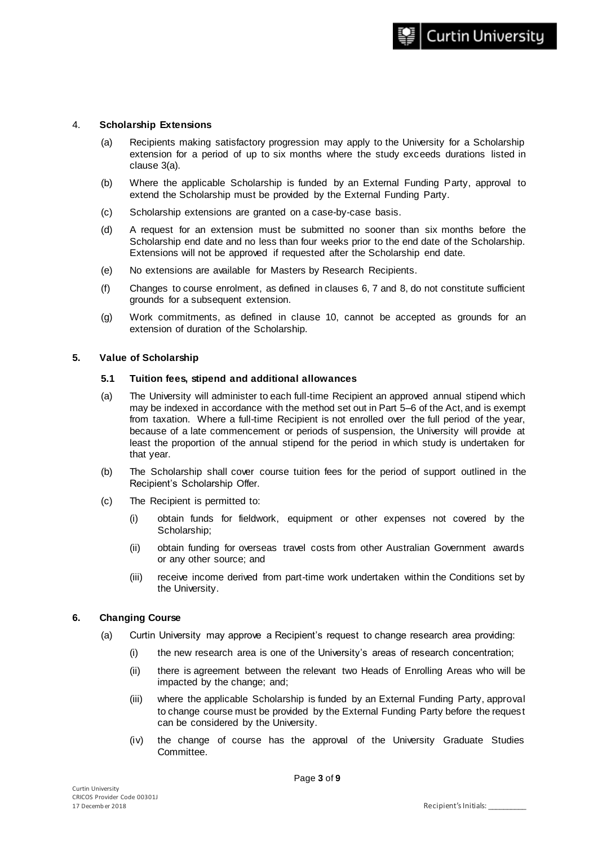#### 4. **Scholarship Extensions**

- (a) Recipients making satisfactory progression may apply to the University for a Scholarship extension for a period of up to six months where the study exceeds durations listed in clause 3(a).
- (b) Where the applicable Scholarship is funded by an External Funding Party, approval to extend the Scholarship must be provided by the External Funding Party.
- (c) Scholarship extensions are granted on a case-by-case basis.
- (d) A request for an extension must be submitted no sooner than six months before the Scholarship end date and no less than four weeks prior to the end date of the Scholarship. Extensions will not be approved if requested after the Scholarship end date.
- (e) No extensions are available for Masters by Research Recipients.
- (f) Changes to course enrolment, as defined in clauses 6, 7 and 8, do not constitute sufficient grounds for a subsequent extension.
- (g) Work commitments, as defined in clause 10, cannot be accepted as grounds for an extension of duration of the Scholarship.

#### **5. Value of Scholarship**

#### **5.1 Tuition fees, stipend and additional allowances**

- (a) The University will administer to each full-time Recipient an approved annual stipend which may be indexed in accordance with the method set out in Part 5–6 of the Act, and is exempt from taxation. Where a full-time Recipient is not enrolled over the full period of the year, because of a late commencement or periods of suspension, the University will provide at least the proportion of the annual stipend for the period in which study is undertaken for that year.
- (b) The Scholarship shall cover course tuition fees for the period of support outlined in the Recipient's Scholarship Offer.
- (c) The Recipient is permitted to:
	- (i) obtain funds for fieldwork, equipment or other expenses not covered by the Scholarship;
	- (ii) obtain funding for overseas travel costs from other Australian Government awards or any other source; and
	- (iii) receive income derived from part-time work undertaken within the Conditions set by the University.

### **6. Changing Course**

- (a) Curtin University may approve a Recipient's request to change research area providing:
	- (i) the new research area is one of the University's areas of research concentration;
	- (ii) there is agreement between the relevant two Heads of Enrolling Areas who will be impacted by the change; and;
	- (iii) where the applicable Scholarship is funded by an External Funding Party, approval to change course must be provided by the External Funding Party before the request can be considered by the University.
	- (iv) the change of course has the approval of the University Graduate Studies Committee.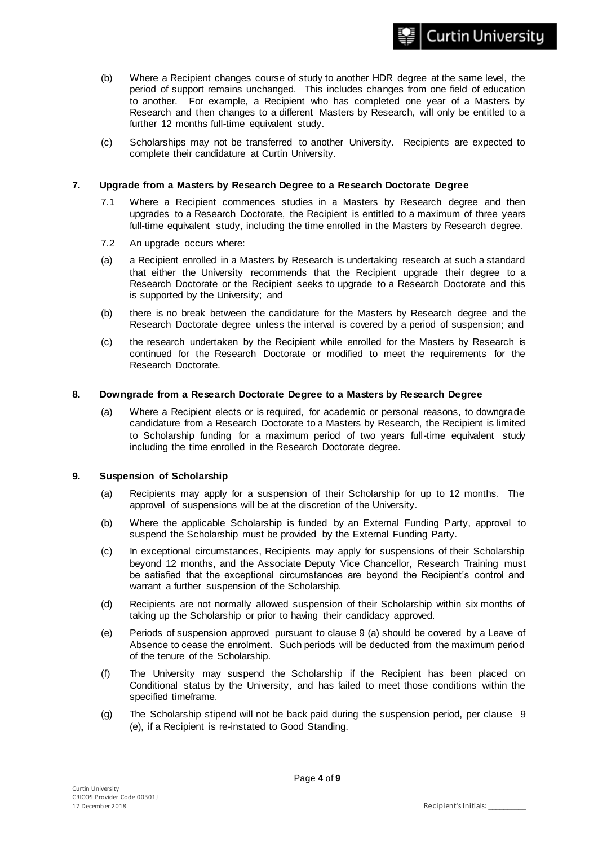- (b) Where a Recipient changes course of study to another HDR degree at the same level, the period of support remains unchanged. This includes changes from one field of education to another. For example, a Recipient who has completed one year of a Masters by Research and then changes to a different Masters by Research, will only be entitled to a further 12 months full-time equivalent study.
- (c) Scholarships may not be transferred to another University. Recipients are expected to complete their candidature at Curtin University.

## **7. Upgrade from a Masters by Research Degree to a Research Doctorate Degree**

- 7.1 Where a Recipient commences studies in a Masters by Research degree and then upgrades to a Research Doctorate, the Recipient is entitled to a maximum of three years full-time equivalent study, including the time enrolled in the Masters by Research degree.
- 7.2 An upgrade occurs where:
- (a) a Recipient enrolled in a Masters by Research is undertaking research at such a standard that either the University recommends that the Recipient upgrade their degree to a Research Doctorate or the Recipient seeks to upgrade to a Research Doctorate and this is supported by the University; and
- (b) there is no break between the candidature for the Masters by Research degree and the Research Doctorate degree unless the interval is covered by a period of suspension; and
- (c) the research undertaken by the Recipient while enrolled for the Masters by Research is continued for the Research Doctorate or modified to meet the requirements for the Research Doctorate.

#### **8. Downgrade from a Research Doctorate Degree to a Masters by Research Degree**

(a) Where a Recipient elects or is required, for academic or personal reasons, to downgrade candidature from a Research Doctorate to a Masters by Research, the Recipient is limited to Scholarship funding for a maximum period of two years full-time equivalent study including the time enrolled in the Research Doctorate degree.

### **9. Suspension of Scholarship**

- (a) Recipients may apply for a suspension of their Scholarship for up to 12 months. The approval of suspensions will be at the discretion of the University.
- (b) Where the applicable Scholarship is funded by an External Funding Party, approval to suspend the Scholarship must be provided by the External Funding Party.
- (c) In exceptional circumstances, Recipients may apply for suspensions of their Scholarship beyond 12 months, and the Associate Deputy Vice Chancellor, Research Training must be satisfied that the exceptional circumstances are beyond the Recipient's control and warrant a further suspension of the Scholarship.
- (d) Recipients are not normally allowed suspension of their Scholarship within six months of taking up the Scholarship or prior to having their candidacy approved.
- (e) Periods of suspension approved pursuant to clause 9 (a) should be covered by a Leave of Absence to cease the enrolment. Such periods will be deducted from the maximum period of the tenure of the Scholarship.
- (f) The University may suspend the Scholarship if the Recipient has been placed on Conditional status by the University, and has failed to meet those conditions within the specified timeframe.
- (g) The Scholarship stipend will not be back paid during the suspension period, per clause 9 (e), if a Recipient is re-instated to Good Standing.

**Curtin University**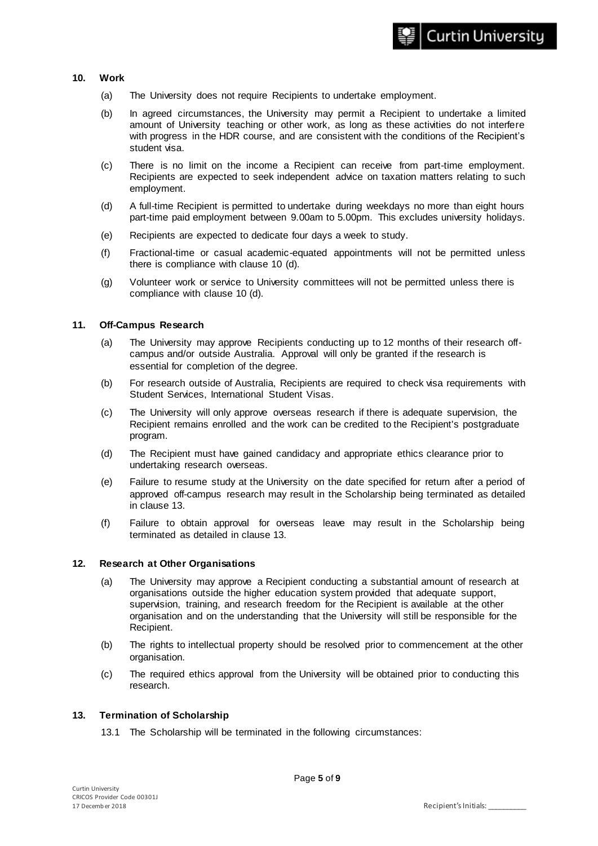## **10. Work**

- (a) The University does not require Recipients to undertake employment.
- (b) In agreed circumstances, the University may permit a Recipient to undertake a limited amount of University teaching or other work, as long as these activities do not interfere with progress in the HDR course, and are consistent with the conditions of the Recipient's student visa.
- (c) There is no limit on the income a Recipient can receive from part-time employment. Recipients are expected to seek independent advice on taxation matters relating to such employment.
- (d) A full-time Recipient is permitted to undertake during weekdays no more than eight hours part-time paid employment between 9.00am to 5.00pm. This excludes university holidays.
- (e) Recipients are expected to dedicate four days a week to study.
- (f) Fractional-time or casual academic-equated appointments will not be permitted unless there is compliance with clause 10 (d).
- (g) Volunteer work or service to University committees will not be permitted unless there is compliance with clause 10 (d).

## **11. Off-Campus Research**

- (a) The University may approve Recipients conducting up to 12 months of their research offcampus and/or outside Australia. Approval will only be granted if the research is essential for completion of the degree.
- (b) For research outside of Australia, Recipients are required to check visa requirements with Student Services, International Student Visas.
- (c) The University will only approve overseas research if there is adequate supervision, the Recipient remains enrolled and the work can be credited to the Recipient's postgraduate program.
- (d) The Recipient must have gained candidacy and appropriate ethics clearance prior to undertaking research overseas.
- (e) Failure to resume study at the University on the date specified for return after a period of approved off-campus research may result in the Scholarship being terminated as detailed in clause 13.
- (f) Failure to obtain approval for overseas leave may result in the Scholarship being terminated as detailed in clause 13.

### **12. Research at Other Organisations**

- (a) The University may approve a Recipient conducting a substantial amount of research at organisations outside the higher education system provided that adequate support, supervision, training, and research freedom for the Recipient is available at the other organisation and on the understanding that the University will still be responsible for the Recipient.
- (b) The rights to intellectual property should be resolved prior to commencement at the other organisation.
- (c) The required ethics approval from the University will be obtained prior to conducting this research.

### **13. Termination of Scholarship**

13.1 The Scholarship will be terminated in the following circumstances: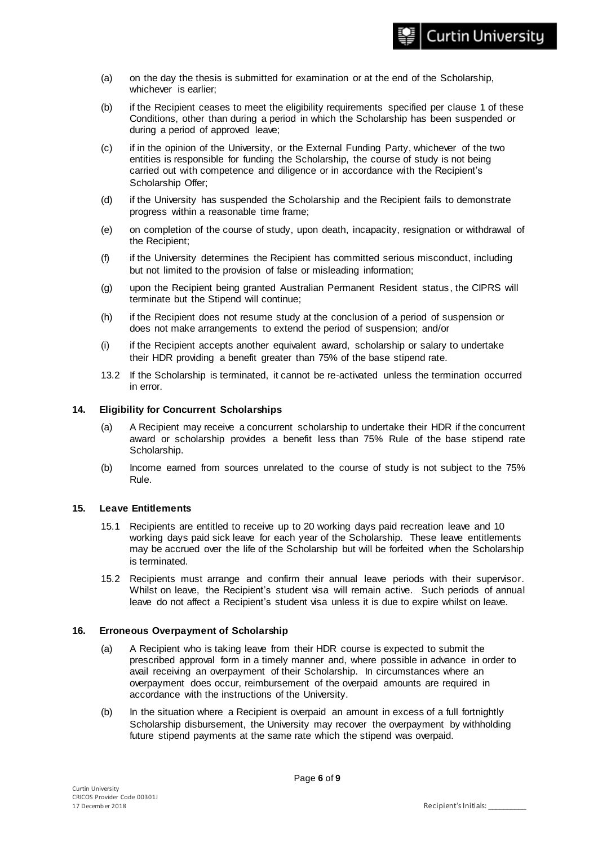- (a) on the day the thesis is submitted for examination or at the end of the Scholarship, whichever is earlier;
- (b) if the Recipient ceases to meet the eligibility requirements specified per clause 1 of these Conditions, other than during a period in which the Scholarship has been suspended or during a period of approved leave;
- (c) if in the opinion of the University, or the External Funding Party, whichever of the two entities is responsible for funding the Scholarship, the course of study is not being carried out with competence and diligence or in accordance with the Recipient's Scholarship Offer;
- (d) if the University has suspended the Scholarship and the Recipient fails to demonstrate progress within a reasonable time frame;
- (e) on completion of the course of study, upon death, incapacity, resignation or withdrawal of the Recipient;
- (f) if the University determines the Recipient has committed serious misconduct, including but not limited to the provision of false or misleading information;
- (g) upon the Recipient being granted Australian Permanent Resident status, the CIPRS will terminate but the Stipend will continue;
- (h) if the Recipient does not resume study at the conclusion of a period of suspension or does not make arrangements to extend the period of suspension; and/or
- (i) if the Recipient accepts another equivalent award, scholarship or salary to undertake their HDR providing a benefit greater than 75% of the base stipend rate.
- 13.2 If the Scholarship is terminated, it cannot be re-activated unless the termination occurred in error.

### **14. Eligibility for Concurrent Scholarships**

- (a) A Recipient may receive a concurrent scholarship to undertake their HDR if the concurrent award or scholarship provides a benefit less than 75% Rule of the base stipend rate Scholarship.
- (b) Income earned from sources unrelated to the course of study is not subject to the 75% Rule.

### **15. Leave Entitlements**

- 15.1 Recipients are entitled to receive up to 20 working days paid recreation leave and 10 working days paid sick leave for each year of the Scholarship. These leave entitlements may be accrued over the life of the Scholarship but will be forfeited when the Scholarship is terminated.
- 15.2 Recipients must arrange and confirm their annual leave periods with their supervisor. Whilst on leave, the Recipient's student visa will remain active. Such periods of annual leave do not affect a Recipient's student visa unless it is due to expire whilst on leave.

## **16. Erroneous Overpayment of Scholarship**

- (a) A Recipient who is taking leave from their HDR course is expected to submit the prescribed approval form in a timely manner and, where possible in advance in order to avail receiving an overpayment of their Scholarship. In circumstances where an overpayment does occur, reimbursement of the overpaid amounts are required in accordance with the instructions of the University.
- (b) In the situation where a Recipient is overpaid an amount in excess of a full fortnightly Scholarship disbursement, the University may recover the overpayment by withholding future stipend payments at the same rate which the stipend was overpaid.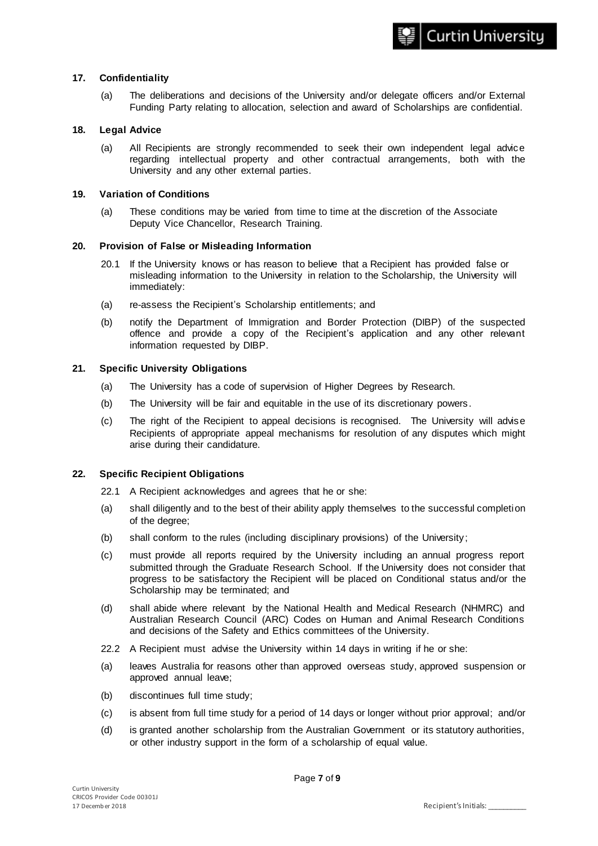### **17. Confidentiality**

(a) The deliberations and decisions of the University and/or delegate officers and/or External Funding Party relating to allocation, selection and award of Scholarships are confidential.

#### **18. Legal Advice**

(a) All Recipients are strongly recommended to seek their own independent legal advice regarding intellectual property and other contractual arrangements, both with the University and any other external parties.

#### **19. Variation of Conditions**

(a) These conditions may be varied from time to time at the discretion of the Associate Deputy Vice Chancellor, Research Training.

## **20. Provision of False or Misleading Information**

- 20.1 If the University knows or has reason to believe that a Recipient has provided false or misleading information to the University in relation to the Scholarship, the University will immediately:
- (a) re-assess the Recipient's Scholarship entitlements; and
- (b) notify the Department of Immigration and Border Protection (DIBP) of the suspected offence and provide a copy of the Recipient's application and any other relevant information requested by DIBP.

#### **21. Specific University Obligations**

- (a) The University has a code of supervision of Higher Degrees by Research.
- (b) The University will be fair and equitable in the use of its discretionary powers .
- (c) The right of the Recipient to appeal decisions is recognised. The University will advise Recipients of appropriate appeal mechanisms for resolution of any disputes which might arise during their candidature.

### **22. Specific Recipient Obligations**

- 22.1 A Recipient acknowledges and agrees that he or she:
- (a) shall diligently and to the best of their ability apply themselves to the successful completion of the degree;
- (b) shall conform to the rules (including disciplinary provisions) of the University;
- (c) must provide all reports required by the University including an annual progress report submitted through the Graduate Research School. If the University does not consider that progress to be satisfactory the Recipient will be placed on Conditional status and/or the Scholarship may be terminated; and
- (d) shall abide where relevant by the National Health and Medical Research (NHMRC) and Australian Research Council (ARC) Codes on Human and Animal Research Conditions and decisions of the Safety and Ethics committees of the University.
- 22.2 A Recipient must advise the University within 14 days in writing if he or she:
- (a) leaves Australia for reasons other than approved overseas study, approved suspension or approved annual leave;
- (b) discontinues full time study;
- (c) is absent from full time study for a period of 14 days or longer without prior approval; and/or
- (d) is granted another scholarship from the Australian Government or its statutory authorities, or other industry support in the form of a scholarship of equal value.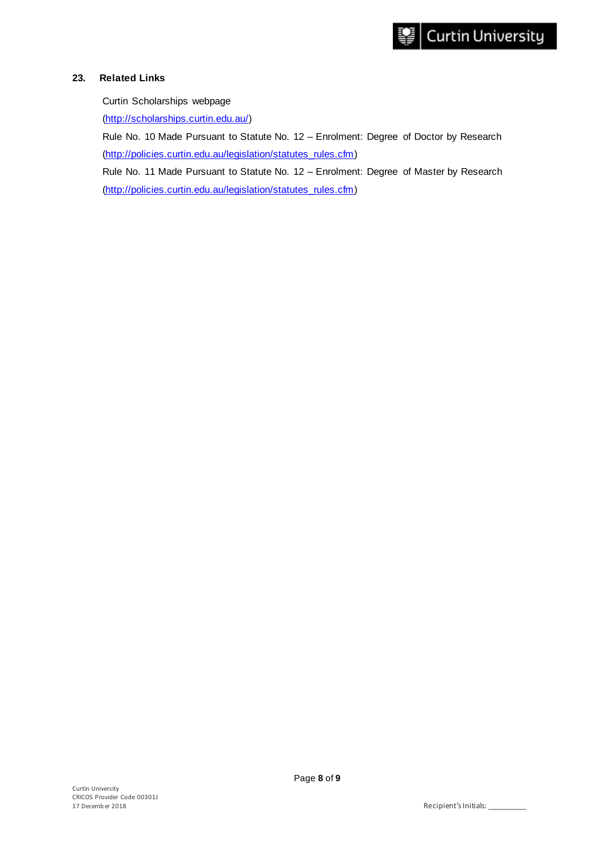# **23. Related Links**

Curtin Scholarships webpage

[\(http://scholarships.curtin.edu.au/\)](http://scholarships.curtin.edu.au/)

Rule No. 10 Made Pursuant to Statute No. 12 – Enrolment: Degree of Doctor by Research (http://policies.curtin.edu.au/legislation/statutes\_rules.cfm)

Rule No. 11 Made Pursuant to Statute No. 12 – Enrolment: Degree of Master by Research [\(http://policies.curtin.edu.au/legislation/statutes\\_rules.cfm\)](http://policies.curtin.edu.au/legislation/statutes_rules.cfm)